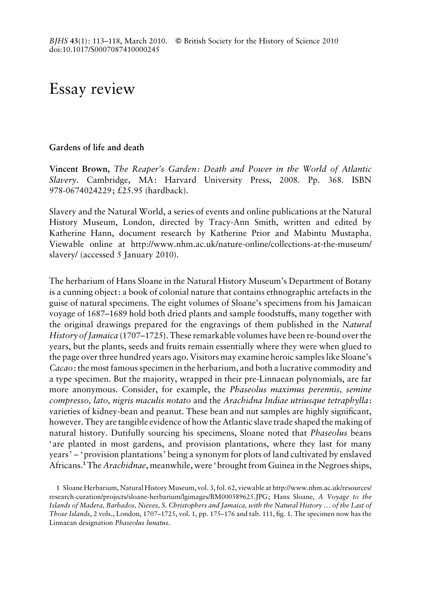## Essay review

## Gardens of life and death

Vincent Brown, The Reaper's Garden: Death and Power in the World of Atlantic Slavery. Cambridge, MA: Harvard University Press, 2008. Pp. 368. ISBN 978-0674024229; £25.95 (hardback).

Slavery and the Natural World, a series of events and online publications at the Natural History Museum, London, directed by Tracy-Ann Smith, written and edited by Katherine Hann, document research by Katherine Prior and Mabintu Mustapha. Viewable online at http://www.nhm.ac.uk/nature-online/collections-at-the-museum/ slavery/ (accessed 5 January 2010).

The herbarium of Hans Sloane in the Natural History Museum's Department of Botany is a cunning object: a book of colonial nature that contains ethnographic artefacts in the guise of natural specimens. The eight volumes of Sloane's specimens from his Jamaican voyage of 1687–1689 hold both dried plants and sample foodstuffs, many together with the original drawings prepared for the engravings of them published in the Natural History of Jamaica (1707–1725). These remarkable volumes have been re-bound over the years, but the plants, seeds and fruits remain essentially where they were when glued to the page over three hundred years ago. Visitors may examine heroic samples like Sloane's Cacao: the most famous specimen in the herbarium, and both a lucrative commodity and a type specimen. But the majority, wrapped in their pre-Linnaean polynomials, are far more anonymous. Consider, for example, the Phaseolus maximus perennis, semine compresso, lato, nigris maculis notato and the Arachidna Indiae utriusque tetraphylla: varieties of kidney-bean and peanut. These bean and nut samples are highly significant, however. They are tangible evidence of how the Atlantic slave trade shaped the making of natural history. Dutifully sourcing his specimens, Sloane noted that Phaseolus beans ' are planted in most gardens, and provision plantations, where they last for many years' – 'provision plantations' being a synonym for plots of land cultivated by enslaved Africans.<sup>1</sup> The Arachidnae, meanwhile, were 'brought from Guinea in the Negroes ships,

1 Sloane Herbarium, Natural History Museum, vol. 3, fol. 62, viewable at http://www.nhm.ac.uk/resources/ research-curation/projects/sloane-herbarium/lgimages/BM000589625.JPG; Hans Sloane, A Voyage to the Islands of Madera, Barbados, Nieves, S. Christophers and Jamaica, with the Natural History … of the Last of Those Islands, 2 vols., London, 1707–1725, vol. 1, pp. 175–176 and tab. 111, fig. 1. The specimen now has the Linnaean designation Phaseolus lunatus.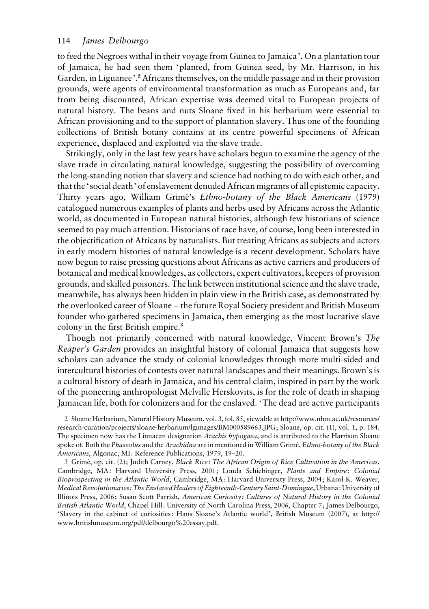to feed the Negroes withal in their voyage from Guinea to Jamaica'. On a plantation tour of Jamaica, he had seen them 'planted, from Guinea seed, by Mr. Harrison, in his Garden, in Liguanee'.<sup>2</sup> Africans themselves, on the middle passage and in their provision grounds, were agents of environmental transformation as much as Europeans and, far from being discounted, African expertise was deemed vital to European projects of natural history. The beans and nuts Sloane fixed in his herbarium were essential to African provisioning and to the support of plantation slavery. Thus one of the founding collections of British botany contains at its centre powerful specimens of African experience, displaced and exploited via the slave trade.

Strikingly, only in the last few years have scholars begun to examine the agency of the slave trade in circulating natural knowledge, suggesting the possibility of overcoming the long-standing notion that slavery and science had nothing to do with each other, and that the ' social death' of enslavement denuded African migrants of all epistemic capacity. Thirty years ago, William Grimé's Ethno-botany of the Black Americans (1979) catalogued numerous examples of plants and herbs used by Africans across the Atlantic world, as documented in European natural histories, although few historians of science seemed to pay much attention. Historians of race have, of course, long been interested in the objectification of Africans by naturalists. But treating Africans as subjects and actors in early modern histories of natural knowledge is a recent development. Scholars have now begun to raise pressing questions about Africans as active carriers and producers of botanical and medical knowledges, as collectors, expert cultivators, keepers of provision grounds, and skilled poisoners. The link between institutional science and the slave trade, meanwhile, has always been hidden in plain view in the British case, as demonstrated by the overlooked career of Sloane – the future Royal Society president and British Museum founder who gathered specimens in Jamaica, then emerging as the most lucrative slave colony in the first British empire.<sup>3</sup>

Though not primarily concerned with natural knowledge, Vincent Brown's The Reaper's Garden provides an insightful history of colonial Jamaica that suggests how scholars can advance the study of colonial knowledges through more multi-sided and intercultural histories of contests over natural landscapes and their meanings. Brown's is a cultural history of death in Jamaica, and his central claim, inspired in part by the work of the pioneering anthropologist Melville Herskovits, is for the role of death in shaping Jamaican life, both for colonizers and for the enslaved. 'The dead are active participants

2 Sloane Herbarium, Natural History Museum, vol. 3, fol. 85, viewable at http://www.nhm.ac.uk/resources/ research-curation/projects/sloane-herbarium/lgimages/BM000589663.JPG; Sloane, op. cit. (1), vol. 1, p. 184. The specimen now has the Linnaean designation Arachis hypogaea, and is attributed to the Harrison Sloane spoke of. Both the Phaseolus and the Arachidna are in mentioned in William Grimé, Ethno-botany of the Black Americans, Algonac, MI: Reference Publications, 1979, 19–20.

3 Grimé, op. cit. (2); Judith Carney, Black Rice: The African Origin of Rice Cultivation in the Americas, Cambridge, MA: Harvard University Press, 2001; Londa Schiebinger, Plants and Empire: Colonial Bioprospecting in the Atlantic World, Cambridge, MA: Harvard University Press, 2004; Karol K. Weaver, Medical Revolutionaries: The Enslaved Healers of Eighteenth-Century Saint-Domingue, Urbana: University of Illinois Press, 2006; Susan Scott Parrish, American Curiosity: Cultures of Natural History in the Colonial British Atlantic World, Chapel Hill: University of North Carolina Press, 2006, Chapter 7; James Delbourgo, 'Slavery in the cabinet of curiosities: Hans Sloane's Atlantic world', British Museum (2007), at http:// www.britishmuseum.org/pdf/delbourgo%20essay.pdf.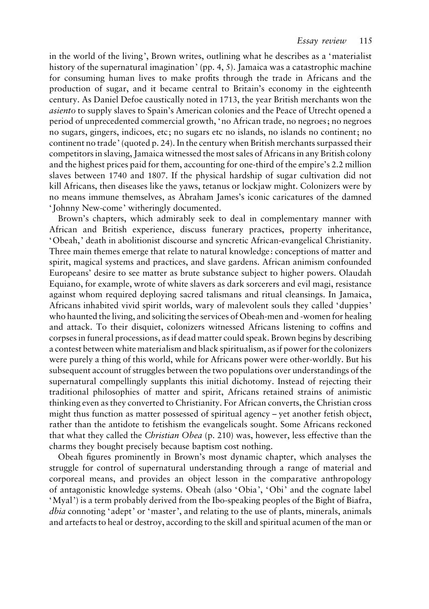in the world of the living', Brown writes, outlining what he describes as a 'materialist history of the supernatural imagination' (pp. 4, 5). Jamaica was a catastrophic machine for consuming human lives to make profits through the trade in Africans and the production of sugar, and it became central to Britain's economy in the eighteenth century. As Daniel Defoe caustically noted in 1713, the year British merchants won the asiento to supply slaves to Spain's American colonies and the Peace of Utrecht opened a period of unprecedented commercial growth, 'no African trade, no negroes; no negroes no sugars, gingers, indicoes, etc; no sugars etc no islands, no islands no continent; no continent no trade' (quoted p. 24). In the century when British merchants surpassed their competitors in slaving, Jamaica witnessed the most sales of Africans in any British colony and the highest prices paid for them, accounting for one-third of the empire's 2.2 million slaves between 1740 and 1807. If the physical hardship of sugar cultivation did not kill Africans, then diseases like the yaws, tetanus or lockjaw might. Colonizers were by no means immune themselves, as Abraham James's iconic caricatures of the damned ' Johnny New-come' witheringly documented.

Brown's chapters, which admirably seek to deal in complementary manner with African and British experience, discuss funerary practices, property inheritance, 'Obeah,' death in abolitionist discourse and syncretic African-evangelical Christianity. Three main themes emerge that relate to natural knowledge: conceptions of matter and spirit, magical systems and practices, and slave gardens. African animism confounded Europeans' desire to see matter as brute substance subject to higher powers. Olaudah Equiano, for example, wrote of white slavers as dark sorcerers and evil magi, resistance against whom required deploying sacred talismans and ritual cleansings. In Jamaica, Africans inhabited vivid spirit worlds, wary of malevolent souls they called 'duppies' who haunted the living, and soliciting the services of Obeah-men and -women for healing and attack. To their disquiet, colonizers witnessed Africans listening to coffins and corpses in funeral processions, as if dead matter could speak. Brown begins by describing a contest between white materialism and black spiritualism, as if power for the colonizers were purely a thing of this world, while for Africans power were other-worldly. But his subsequent account of struggles between the two populations over understandings of the supernatural compellingly supplants this initial dichotomy. Instead of rejecting their traditional philosophies of matter and spirit, Africans retained strains of animistic thinking even as they converted to Christianity. For African converts, the Christian cross might thus function as matter possessed of spiritual agency – yet another fetish object, rather than the antidote to fetishism the evangelicals sought. Some Africans reckoned that what they called the Christian Obea (p. 210) was, however, less effective than the charms they bought precisely because baptism cost nothing.

Obeah figures prominently in Brown's most dynamic chapter, which analyses the struggle for control of supernatural understanding through a range of material and corporeal means, and provides an object lesson in the comparative anthropology of antagonistic knowledge systems. Obeah (also 'Obia', 'Obi' and the cognate label 'Myal') is a term probably derived from the Ibo-speaking peoples of the Bight of Biafra, dbia connoting 'adept' or 'master', and relating to the use of plants, minerals, animals and artefacts to heal or destroy, according to the skill and spiritual acumen of the man or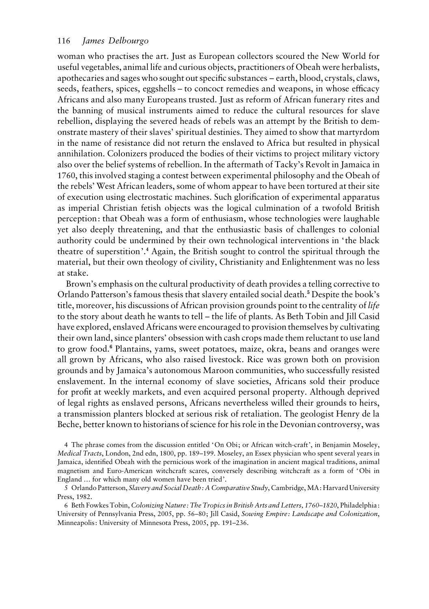## 116 James Delbourgo

woman who practises the art. Just as European collectors scoured the New World for useful vegetables, animal life and curious objects, practitioners of Obeah were herbalists, apothecaries and sages who sought out specific substances – earth, blood, crystals, claws, seeds, feathers, spices, eggshells – to concoct remedies and weapons, in whose efficacy Africans and also many Europeans trusted. Just as reform of African funerary rites and the banning of musical instruments aimed to reduce the cultural resources for slave rebellion, displaying the severed heads of rebels was an attempt by the British to demonstrate mastery of their slaves' spiritual destinies. They aimed to show that martyrdom in the name of resistance did not return the enslaved to Africa but resulted in physical annihilation. Colonizers produced the bodies of their victims to project military victory also over the belief systems of rebellion. In the aftermath of Tacky's Revolt in Jamaica in 1760, this involved staging a contest between experimental philosophy and the Obeah of the rebels' West African leaders, some of whom appear to have been tortured at their site of execution using electrostatic machines. Such glorification of experimental apparatus as imperial Christian fetish objects was the logical culmination of a twofold British perception: that Obeah was a form of enthusiasm, whose technologies were laughable yet also deeply threatening, and that the enthusiastic basis of challenges to colonial authority could be undermined by their own technological interventions in ' the black theatre of superstition'.<sup>4</sup> Again, the British sought to control the spiritual through the material, but their own theology of civility, Christianity and Enlightenment was no less at stake.

Brown's emphasis on the cultural productivity of death provides a telling corrective to Orlando Patterson's famous thesis that slavery entailed social death.<sup>5</sup> Despite the book's title, moreover, his discussions of African provision grounds point to the centrality of *life* to the story about death he wants to tell – the life of plants. As Beth Tobin and Jill Casid have explored, enslaved Africans were encouraged to provision themselves by cultivating their own land, since planters' obsession with cash crops made them reluctant to use land to grow food.<sup>6</sup> Plantains, yams, sweet potatoes, maize, okra, beans and oranges were all grown by Africans, who also raised livestock. Rice was grown both on provision grounds and by Jamaica's autonomous Maroon communities, who successfully resisted enslavement. In the internal economy of slave societies, Africans sold their produce for profit at weekly markets, and even acquired personal property. Although deprived of legal rights as enslaved persons, Africans nevertheless willed their grounds to heirs, a transmission planters blocked at serious risk of retaliation. The geologist Henry de la Beche, better known to historians of science for his role in the Devonian controversy, was

4 The phrase comes from the discussion entitled 'On Obi; or African witch-craft', in Benjamin Moseley, Medical Tracts, London, 2nd edn, 1800, pp. 189–199. Moseley, an Essex physician who spent several years in Jamaica, identified Obeah with the pernicious work of the imagination in ancient magical traditions, animal magnetism and Euro-American witchcraft scares, conversely describing witchcraft as a form of 'Obi in England … for which many old women have been tried'.

5 Orlando Patterson, Slavery and Social Death: A Comparative Study, Cambridge, MA: Harvard University Press, 1982.

6 Beth Fowkes Tobin, Colonizing Nature: The Tropics in British Arts and Letters, 1760–1820, Philadelphia: University of Pennsylvania Press, 2005, pp. 56–80; Jill Casid, Sowing Empire: Landscape and Colonization, Minneapolis: University of Minnesota Press, 2005, pp. 191–236.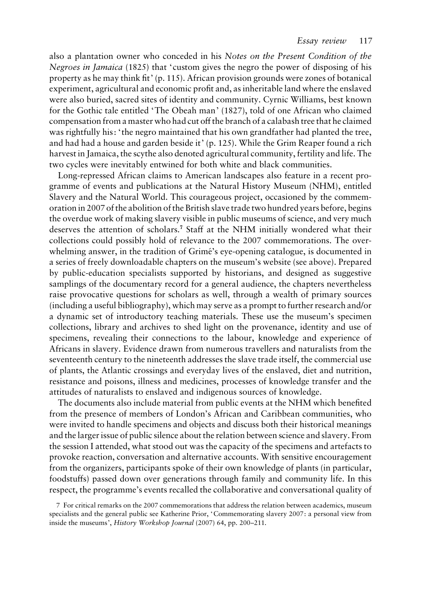also a plantation owner who conceded in his Notes on the Present Condition of the Negroes in Jamaica (1825) that 'custom gives the negro the power of disposing of his property as he may think fit' (p. 115). African provision grounds were zones of botanical experiment, agricultural and economic profit and, as inheritable land where the enslaved were also buried, sacred sites of identity and community. Cyrnic Williams, best known for the Gothic tale entitled 'The Obeah man' (1827), told of one African who claimed compensation from a master who had cut off the branch of a calabash tree that he claimed was rightfully his: ' the negro maintained that his own grandfather had planted the tree, and had had a house and garden beside it' (p. 125). While the Grim Reaper found a rich harvest in Jamaica, the scythe also denoted agricultural community, fertility and life. The two cycles were inevitably entwined for both white and black communities.

Long-repressed African claims to American landscapes also feature in a recent programme of events and publications at the Natural History Museum (NHM), entitled Slavery and the Natural World. This courageous project, occasioned by the commemoration in 2007 of the abolition of the British slave trade two hundred years before, begins the overdue work of making slavery visible in public museums of science, and very much deserves the attention of scholars.<sup>7</sup> Staff at the NHM initially wondered what their collections could possibly hold of relevance to the 2007 commemorations. The overwhelming answer, in the tradition of Grime's eye-opening catalogue, is documented in a series of freely downloadable chapters on the museum's website (see above). Prepared by public-education specialists supported by historians, and designed as suggestive samplings of the documentary record for a general audience, the chapters nevertheless raise provocative questions for scholars as well, through a wealth of primary sources (including a useful bibliography), which may serve as a prompt to further research and/or a dynamic set of introductory teaching materials. These use the museum's specimen collections, library and archives to shed light on the provenance, identity and use of specimens, revealing their connections to the labour, knowledge and experience of Africans in slavery. Evidence drawn from numerous travellers and naturalists from the seventeenth century to the nineteenth addresses the slave trade itself, the commercial use of plants, the Atlantic crossings and everyday lives of the enslaved, diet and nutrition, resistance and poisons, illness and medicines, processes of knowledge transfer and the attitudes of naturalists to enslaved and indigenous sources of knowledge.

The documents also include material from public events at the NHM which benefited from the presence of members of London's African and Caribbean communities, who were invited to handle specimens and objects and discuss both their historical meanings and the larger issue of public silence about the relation between science and slavery. From the session I attended, what stood out was the capacity of the specimens and artefacts to provoke reaction, conversation and alternative accounts. With sensitive encouragement from the organizers, participants spoke of their own knowledge of plants (in particular, foodstuffs) passed down over generations through family and community life. In this respect, the programme's events recalled the collaborative and conversational quality of

<sup>7</sup> For critical remarks on the 2007 commemorations that address the relation between academics, museum specialists and the general public see Katherine Prior, 'Commemorating slavery 2007: a personal view from inside the museums', History Workshop Journal (2007) 64, pp. 200–211.